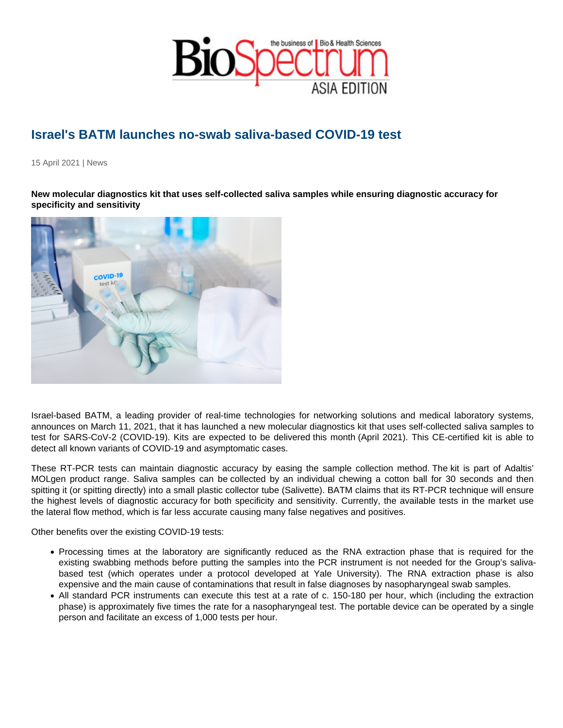## Israel's BATM launches no-swab saliva-based COVID-19 test

15 April 2021 | News

New molecular diagnostics kit that uses self-collected saliva samples while ensuring diagnostic accuracy for specificity and sensitivity

Israel-based BATM, a leading provider of real-time technologies for networking solutions and medical laboratory systems, announces on March 11, 2021, that it has launched a new molecular diagnostics kit that uses self-collected saliva samples to test for SARS-CoV-2 (COVID-19). Kits are expected to be delivered this month (April 2021). This CE-certified kit is able to detect all known variants of COVID-19 and asymptomatic cases.

These RT-PCR tests can maintain diagnostic accuracy by easing the sample collection method. The kit is part of Adaltis' MOLgen product range. Saliva samples can be collected by an individual chewing a cotton ball for 30 seconds and then spitting it (or spitting directly) into a small plastic collector tube (Salivette). BATM claims that its RT-PCR technique will ensure the highest levels of diagnostic accuracy for both specificity and sensitivity. Currently, the available tests in the market use the lateral flow method, which is far less accurate causing many false negatives and positives.

Other benefits over the existing COVID-19 tests:

- Processing times at the laboratory are significantly reduced as the RNA extraction phase that is required for the existing swabbing methods before putting the samples into the PCR instrument is not needed for the Group's salivabased test (which operates under a protocol developed at Yale University). The RNA extraction phase is also expensive and the main cause of contaminations that result in false diagnoses by nasopharyngeal swab samples.
- All standard PCR instruments can execute this test at a rate of c. 150-180 per hour, which (including the extraction phase) is approximately five times the rate for a nasopharyngeal test. The portable device can be operated by a single person and facilitate an excess of 1,000 tests per hour.